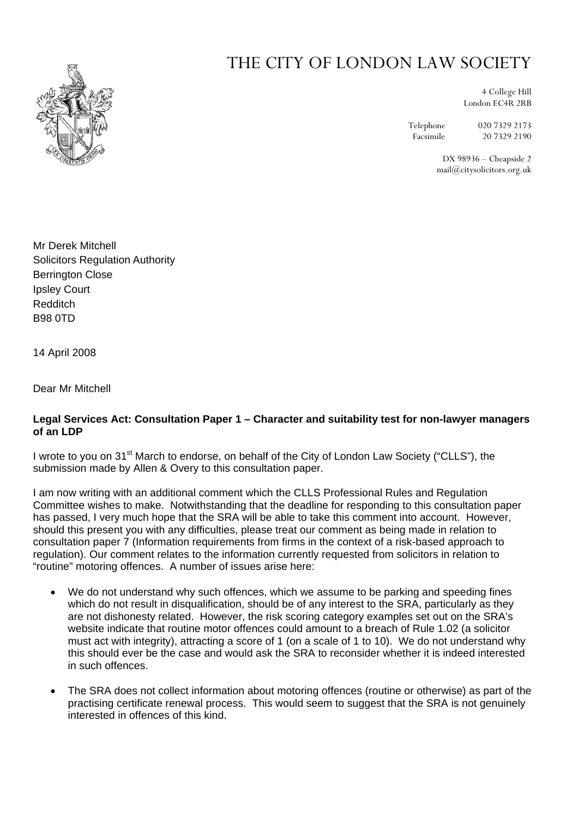

## THE CITY OF LONDON LAW SOCIETY

4 College Hill London EC4R 2RB

Telephone 020 7329 2173

Facsimile 20 7329 2190

DX 98936 – Cheapside 2 mail@citysolicitors.org.uk

Mr Derek Mitchell Solicitors Regulation Authority Berrington Close Ipsley Court Redditch B98 0TD

14 April 2008

Dear Mr Mitchell

## **Legal Services Act: Consultation Paper 1 – Character and suitability test for non-lawyer managers of an LDP**

I wrote to you on 31<sup>st</sup> March to endorse, on behalf of the City of London Law Society ("CLLS"), the submission made by Allen & Overy to this consultation paper.

I am now writing with an additional comment which the CLLS Professional Rules and Regulation Committee wishes to make. Notwithstanding that the deadline for responding to this consultation paper has passed, I very much hope that the SRA will be able to take this comment into account. However, should this present you with any difficulties, please treat our comment as being made in relation to consultation paper 7 (Information requirements from firms in the context of a risk-based approach to regulation). Our comment relates to the information currently requested from solicitors in relation to "routine" motoring offences. A number of issues arise here:

- We do not understand why such offences, which we assume to be parking and speeding fines which do not result in disqualification, should be of any interest to the SRA, particularly as they are not dishonesty related. However, the risk scoring category examples set out on the SRA's website indicate that routine motor offences could amount to a breach of Rule 1.02 (a solicitor must act with integrity), attracting a score of 1 (on a scale of 1 to 10). We do not understand why this should ever be the case and would ask the SRA to reconsider whether it is indeed interested in such offences.
- The SRA does not collect information about motoring offences (routine or otherwise) as part of the practising certificate renewal process. This would seem to suggest that the SRA is not genuinely interested in offences of this kind.